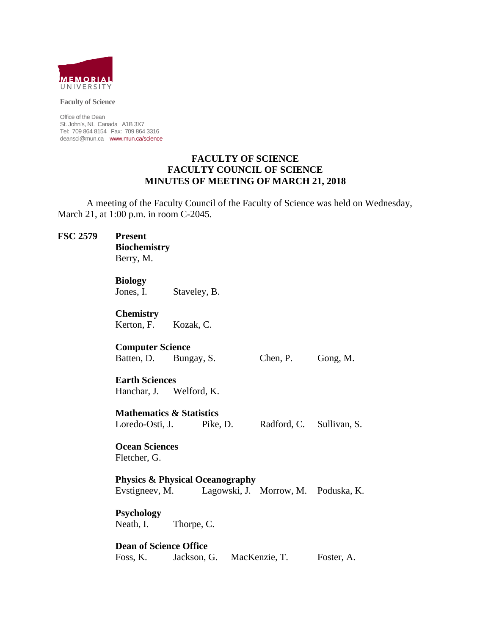

**Faculty of Science** 

Office of the Dean St. John's, NL Canada A1B 3X7 Tel: 709 864 8154 Fax: 709 864 3316 deansci@mun.ca www.mun.ca/science

#### **FACULTY OF SCIENCE FACULTY COUNCIL OF SCIENCE MINUTES OF MEETING OF MARCH 21, 2018**

 A meeting of the Faculty Council of the Faculty of Science was held on Wednesday, March 21, at 1:00 p.m. in room C-2045.

# **FSC 2579 Present Biochemistry** Berry, M. **Biology**  Jones, I. Staveley, B. **Chemistry** Kerton, F. Kozak, C. **Computer Science**  Batten, D. Bungay, S. Chen, P. Gong, M. **Earth Sciences**  Hanchar, J. Welford, K. **Mathematics & Statistics**  Loredo-Osti, J. Pike, D. Radford, C. Sullivan, S. **Ocean Sciences**  Fletcher, G. **Physics & Physical Oceanography** Evstigneev, M. Lagowski, J. Morrow, M. Poduska, K. **Psychology**  Neath, I. Thorpe, C. **Dean of Science Office** Foss, K. Jackson, G. MacKenzie, T. Foster, A.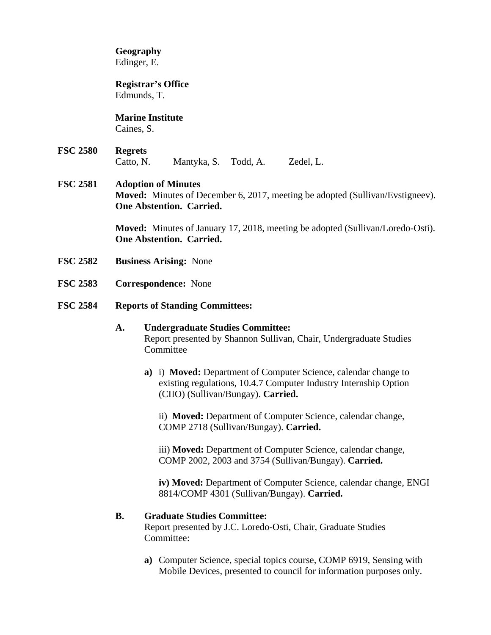**Geography**  Edinger, E.

 **Registrar's Office**  Edmunds, T.

 **Marine Institute**  Caines, S.

**FSC 2580 Regrets**  Catto, N. Mantyka, S. Todd, A. Zedel, L.

# **FSC 2581 Adoption of Minutes Moved:** Minutes of December 6, 2017, meeting be adopted (Sullivan/Evstigneev). **One Abstention. Carried.**

**Moved:** Minutes of January 17, 2018, meeting be adopted (Sullivan/Loredo-Osti). **One Abstention. Carried.** 

- **FSC 2582 Business Arising:** None
- **FSC 2583 Correspondence:** None
- **FSC 2584 Reports of Standing Committees:**

# **A. Undergraduate Studies Committee:**  Report presented by Shannon Sullivan, Chair, Undergraduate Studies **Committee**

**a)** i) **Moved:** Department of Computer Science, calendar change to existing regulations, 10.4.7 Computer Industry Internship Option (CIIO) (Sullivan/Bungay). **Carried.** 

ii) **Moved:** Department of Computer Science, calendar change, COMP 2718 (Sullivan/Bungay). **Carried.** 

iii) **Moved:** Department of Computer Science, calendar change, COMP 2002, 2003 and 3754 (Sullivan/Bungay). **Carried.** 

**iv) Moved:** Department of Computer Science, calendar change, ENGI 8814/COMP 4301 (Sullivan/Bungay). **Carried.**

#### **B. Graduate Studies Committee:**

Report presented by J.C. Loredo-Osti, Chair, Graduate Studies Committee:

**a)** Computer Science, special topics course, COMP 6919, Sensing with Mobile Devices, presented to council for information purposes only.